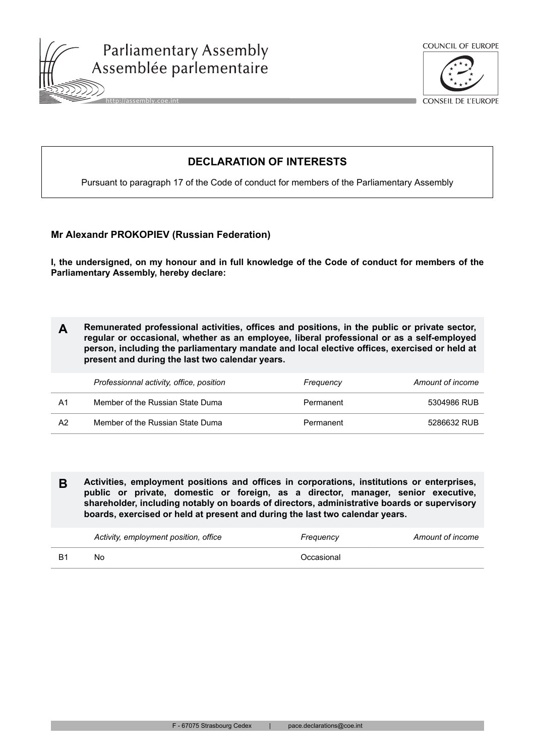





CONSEIL DE L'EUROPE

# **DECLARATION OF INTERESTS**

Pursuant to paragraph 17 of the Code of conduct for members of the Parliamentary Assembly

## **Mr Alexandr PROKOPIEV (Russian Federation)**

**I, the undersigned, on my honour and in full knowledge of the Code of conduct for members of the Parliamentary Assembly, hereby declare:**

**A Remunerated professional activities, offices and positions, in the public or private sector, regular or occasional, whether as an employee, liberal professional or as a self-employed person, including the parliamentary mandate and local elective offices, exercised or held at present and during the last two calendar years.**

|    | Professionnal activity, office, position | Frequency | Amount of income |
|----|------------------------------------------|-----------|------------------|
| A1 | Member of the Russian State Duma         | Permanent | 5304986 RUB      |
| A2 | Member of the Russian State Duma         | Permanent | 5286632 RUB      |

**B Activities, employment positions and offices in corporations, institutions or enterprises, public or private, domestic or foreign, as a director, manager, senior executive, shareholder, including notably on boards of directors, administrative boards or supervisory boards, exercised or held at present and during the last two calendar years.**

| Activity, employment position, office | Frequency  | Amount of income |
|---------------------------------------|------------|------------------|
| No                                    | Occasional |                  |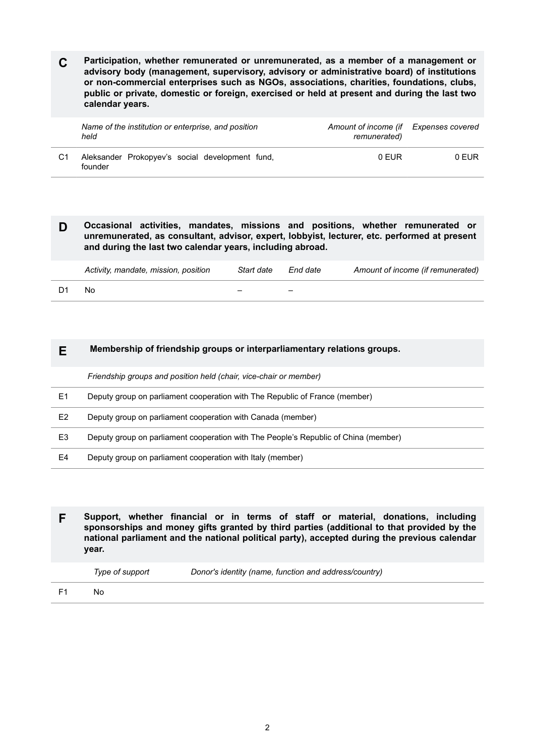**C Participation, whether remunerated or unremunerated, as a member of a management or advisory body (management, supervisory, advisory or administrative board) of institutions or non-commercial enterprises such as NGOs, associations, charities, foundations, clubs, public or private, domestic or foreign, exercised or held at present and during the last two calendar years.**

|    | Name of the institution or enterprise, and position<br>held | Amount of income (if<br>remunerated) | Expenses covered |
|----|-------------------------------------------------------------|--------------------------------------|------------------|
| C1 | Aleksander Prokopyev's social development fund.<br>founder  | 0 FUR                                | 0 FUR            |

#### **D Occasional activities, mandates, missions and positions, whether remunerated or unremunerated, as consultant, advisor, expert, lobbyist, lecturer, etc. performed at present and during the last two calendar years, including abroad.**

| Activity, mandate, mission, position | Start date | End date | Amount of income (if remunerated) |
|--------------------------------------|------------|----------|-----------------------------------|
| N٥                                   | -          |          |                                   |

### **E Membership of friendship groups or interparliamentary relations groups.**

*Friendship groups and position held (chair, vice-chair or member)*

- E1 Deputy group on parliament cooperation with The Republic of France (member)
- E2 Deputy group on parliament cooperation with Canada (member)
- E3 Deputy group on parliament cooperation with The People's Republic of China (member)
- E4 Deputy group on parliament cooperation with Italy (member)

**F Support, whether financial or in terms of staff or material, donations, including sponsorships and money gifts granted by third parties (additional to that provided by the national parliament and the national political party), accepted during the previous calendar year.**

| ype of support |  |  |  |
|----------------|--|--|--|
|                |  |  |  |

*Type of support Donor's identity (name, function and address/country)*

F1 No